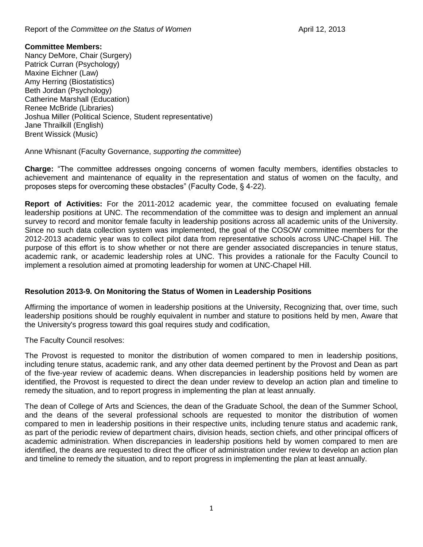#### Report of the *Committee on the Status of Women* **April 12, 2013**

### **Committee Members:**

Nancy DeMore, Chair (Surgery) Patrick Curran (Psychology) Maxine Eichner (Law) Amy Herring (Biostatistics) Beth Jordan (Psychology) Catherine Marshall (Education) Renee McBride (Libraries) Joshua Miller (Political Science, Student representative) Jane Thrailkill (English) Brent Wissick (Music)

Anne Whisnant (Faculty Governance, *supporting the committee*)

**Charge:** "The committee addresses ongoing concerns of women faculty members, identifies obstacles to achievement and maintenance of equality in the representation and status of women on the faculty, and proposes steps for overcoming these obstacles" (Faculty Code, § 4-22).

**Report of Activities:** For the 2011-2012 academic year, the committee focused on evaluating female leadership positions at UNC. The recommendation of the committee was to design and implement an annual survey to record and monitor female faculty in leadership positions across all academic units of the University. Since no such data collection system was implemented, the goal of the COSOW committee members for the 2012-2013 academic year was to collect pilot data from representative schools across UNC-Chapel Hill. The purpose of this effort is to show whether or not there are gender associated discrepancies in tenure status, academic rank, or academic leadership roles at UNC. This provides a rationale for the Faculty Council to implement a resolution aimed at promoting leadership for women at UNC-Chapel Hill.

# **Resolution 2013-9. On Monitoring the Status of Women in Leadership Positions**

Affirming the importance of women in leadership positions at the University, Recognizing that, over time, such leadership positions should be roughly equivalent in number and stature to positions held by men, Aware that the University's progress toward this goal requires study and codification,

The Faculty Council resolves:

The Provost is requested to monitor the distribution of women compared to men in leadership positions, including tenure status, academic rank, and any other data deemed pertinent by the Provost and Dean as part of the five-year review of academic deans. When discrepancies in leadership positions held by women are identified, the Provost is requested to direct the dean under review to develop an action plan and timeline to remedy the situation, and to report progress in implementing the plan at least annually.

The dean of College of Arts and Sciences, the dean of the Graduate School, the dean of the Summer School, and the deans of the several professional schools are requested to monitor the distribution of women compared to men in leadership positions in their respective units, including tenure status and academic rank, as part of the periodic review of department chairs, division heads, section chiefs, and other principal officers of academic administration. When discrepancies in leadership positions held by women compared to men are identified, the deans are requested to direct the officer of administration under review to develop an action plan and timeline to remedy the situation, and to report progress in implementing the plan at least annually.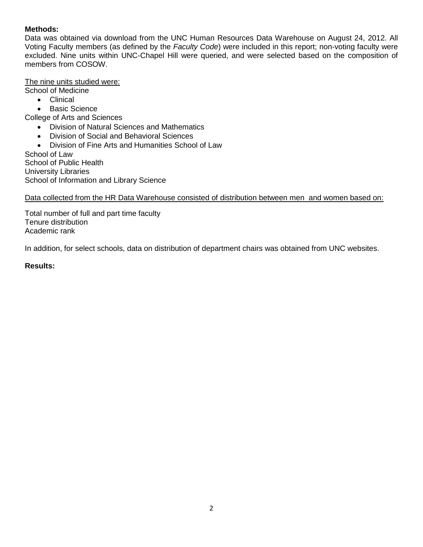# **Methods:**

Data was obtained via download from the UNC Human Resources Data Warehouse on August 24, 2012. All Voting Faculty members (as defined by the *Faculty Code*) were included in this report; non-voting faculty were excluded. Nine units within UNC-Chapel Hill were queried, and were selected based on the composition of members from COSOW.

### The nine units studied were:

School of Medicine

- Clinical
- Basic Science

College of Arts and Sciences

- Division of Natural Sciences and Mathematics
- Division of Social and Behavioral Sciences
- Division of Fine Arts and Humanities School of Law

School of Law School of Public Health University Libraries School of Information and Library Science

## Data collected from the HR Data Warehouse consisted of distribution between men and women based on:

Total number of full and part time faculty Tenure distribution Academic rank

In addition, for select schools, data on distribution of department chairs was obtained from UNC websites.

### **Results:**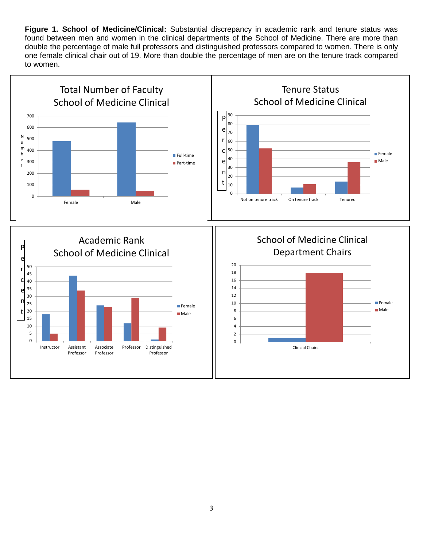**Figure 1. School of Medicine/Clinical:** Substantial discrepancy in academic rank and tenure status was found between men and women in the clinical departments of the School of Medicine. There are more than double the percentage of male full professors and distinguished professors compared to women. There is only one female clinical chair out of 19. More than double the percentage of men are on the tenure track compared to women.

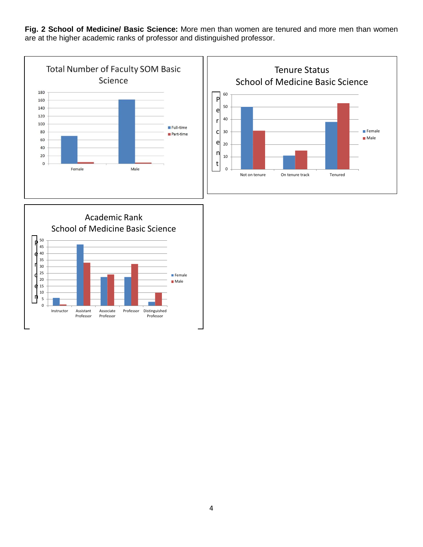**Fig. 2 School of Medicine/ Basic Science:** More men than women are tenured and more men than women are at the higher academic ranks of professor and distinguished professor.

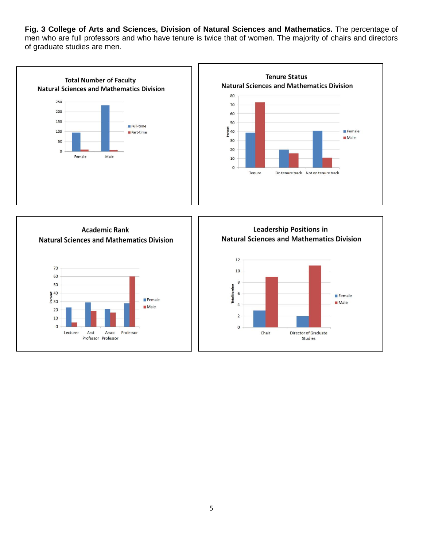**Fig. 3 College of Arts and Sciences, Division of Natural Sciences and Mathematics.** The percentage of men who are full professors and who have tenure is twice that of women. The majority of chairs and directors of graduate studies are men.

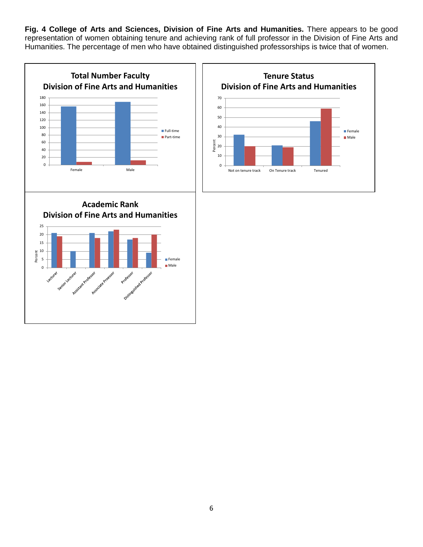**Fig. 4 College of Arts and Sciences, Division of Fine Arts and Humanities.** There appears to be good representation of women obtaining tenure and achieving rank of full professor in the Division of Fine Arts and Humanities. The percentage of men who have obtained distinguished professorships is twice that of women.

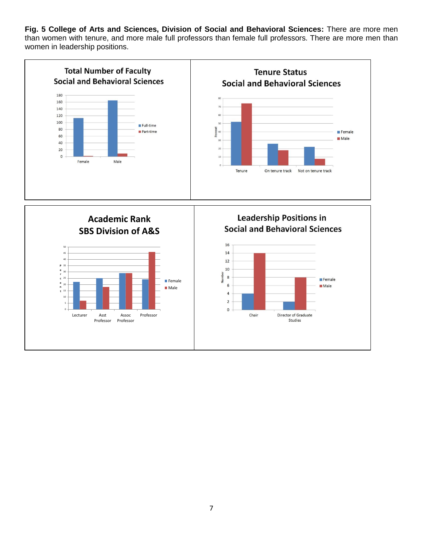**Fig. 5 College of Arts and Sciences, Division of Social and Behavioral Sciences:** There are more men than women with tenure, and more male full professors than female full professors. There are more men than women in leadership positions.

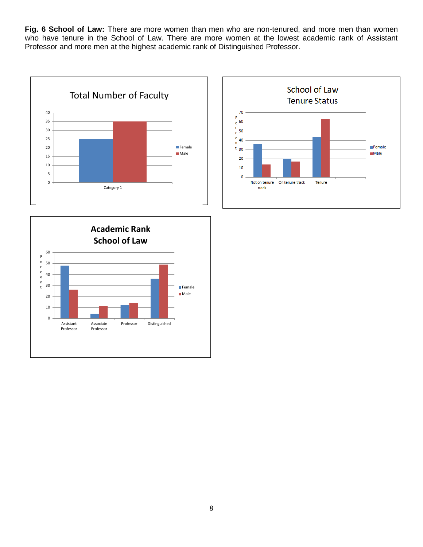**Fig. 6 School of Law:** There are more women than men who are non-tenured, and more men than women who have tenure in the School of Law. There are more women at the lowest academic rank of Assistant Professor and more men at the highest academic rank of Distinguished Professor.





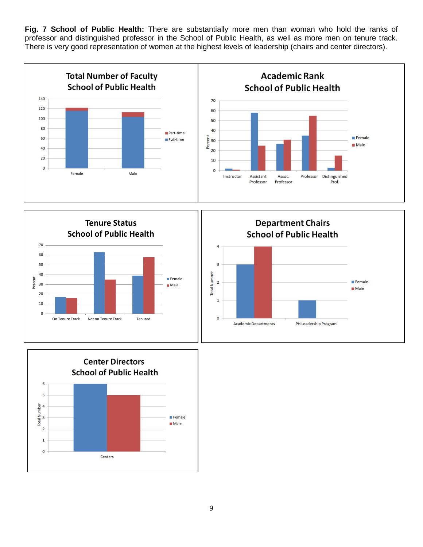**Fig. 7 School of Public Health:** There are substantially more men than woman who hold the ranks of professor and distinguished professor in the School of Public Health, as well as more men on tenure track. There is very good representation of women at the highest levels of leadership (chairs and center directors).







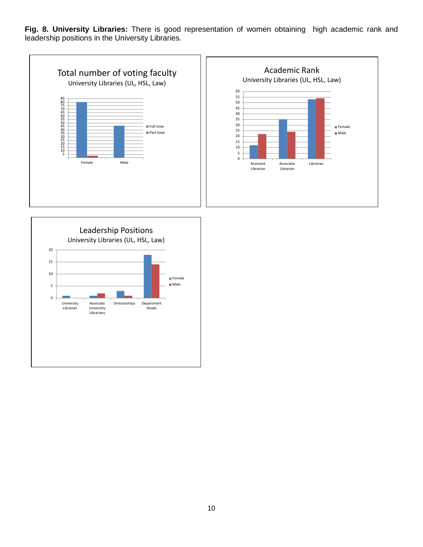**Fig. 8. University Libraries:** There is good representation of women obtaining high academic rank and leadership positions in the University Libraries.